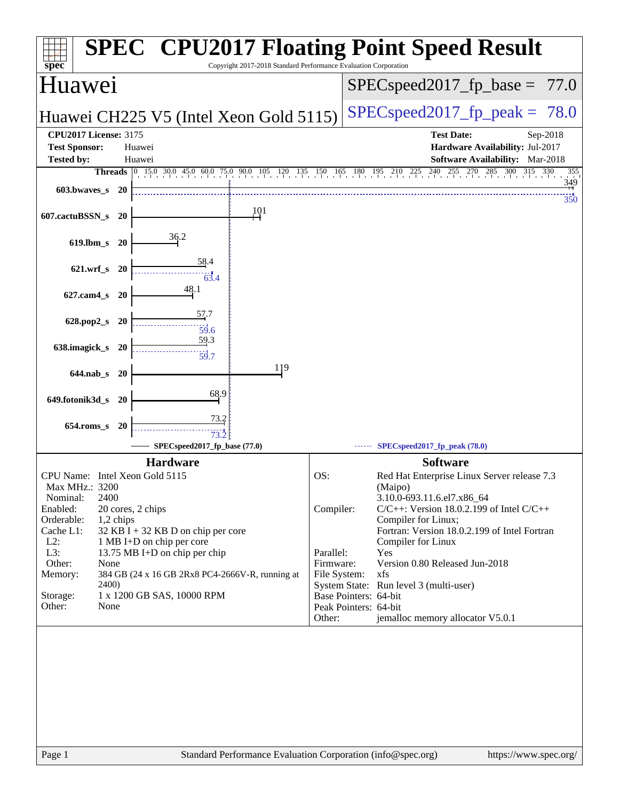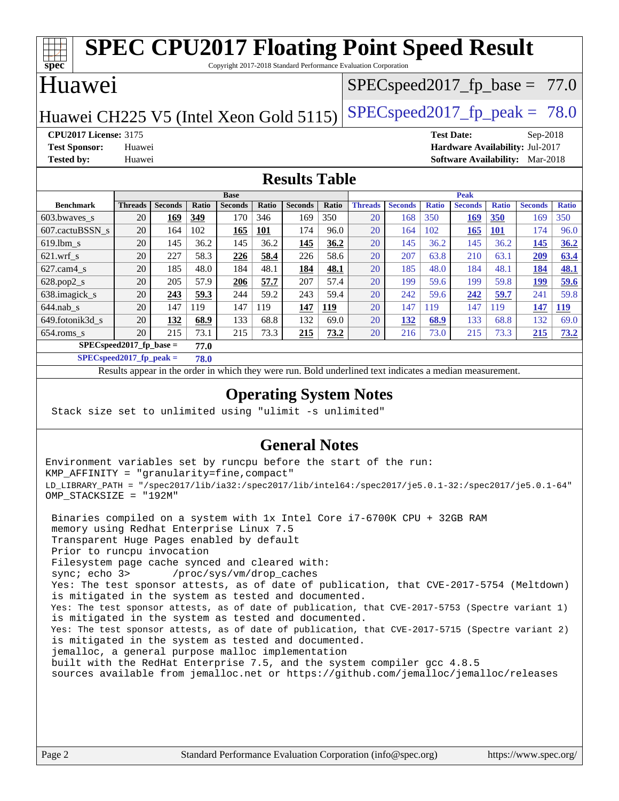#### **[spec](http://www.spec.org/) [SPEC CPU2017 Floating Point Speed Result](http://www.spec.org/auto/cpu2017/Docs/result-fields.html#SPECCPU2017FloatingPointSpeedResult)** Copyright 2017-2018 Standard Performance Evaluation Corporation Huawei Huawei CH225 V5 (Intel Xeon Gold 5115) SPECspeed 2017 fp peak =  $78.0$  $SPECspeed2017_fp\_base = 77.0$ **[CPU2017 License:](http://www.spec.org/auto/cpu2017/Docs/result-fields.html#CPU2017License)** 3175 **[Test Date:](http://www.spec.org/auto/cpu2017/Docs/result-fields.html#TestDate)** Sep-2018 **[Test Sponsor:](http://www.spec.org/auto/cpu2017/Docs/result-fields.html#TestSponsor)** Huawei **[Hardware Availability:](http://www.spec.org/auto/cpu2017/Docs/result-fields.html#HardwareAvailability)** Jul-2017 **[Tested by:](http://www.spec.org/auto/cpu2017/Docs/result-fields.html#Testedby)** Huawei **[Software Availability:](http://www.spec.org/auto/cpu2017/Docs/result-fields.html#SoftwareAvailability)** Mar-2018 **[Results Table](http://www.spec.org/auto/cpu2017/Docs/result-fields.html#ResultsTable) [Benchmark](http://www.spec.org/auto/cpu2017/Docs/result-fields.html#Benchmark) [Threads](http://www.spec.org/auto/cpu2017/Docs/result-fields.html#Threads) [Seconds](http://www.spec.org/auto/cpu2017/Docs/result-fields.html#Seconds) [Ratio](http://www.spec.org/auto/cpu2017/Docs/result-fields.html#Ratio) [Seconds](http://www.spec.org/auto/cpu2017/Docs/result-fields.html#Seconds) [Ratio](http://www.spec.org/auto/cpu2017/Docs/result-fields.html#Ratio) [Seconds](http://www.spec.org/auto/cpu2017/Docs/result-fields.html#Seconds) [Ratio](http://www.spec.org/auto/cpu2017/Docs/result-fields.html#Ratio) Base [Threads](http://www.spec.org/auto/cpu2017/Docs/result-fields.html#Threads) [Seconds](http://www.spec.org/auto/cpu2017/Docs/result-fields.html#Seconds) [Ratio](http://www.spec.org/auto/cpu2017/Docs/result-fields.html#Ratio) [Seconds](http://www.spec.org/auto/cpu2017/Docs/result-fields.html#Seconds) [Ratio](http://www.spec.org/auto/cpu2017/Docs/result-fields.html#Ratio) [Seconds](http://www.spec.org/auto/cpu2017/Docs/result-fields.html#Seconds) [Ratio](http://www.spec.org/auto/cpu2017/Docs/result-fields.html#Ratio) Peak** [603.bwaves\\_s](http://www.spec.org/auto/cpu2017/Docs/benchmarks/603.bwaves_s.html) 20 **[169](http://www.spec.org/auto/cpu2017/Docs/result-fields.html#Median) [349](http://www.spec.org/auto/cpu2017/Docs/result-fields.html#Median)** 170 346 169 350 20 168 350 **[169](http://www.spec.org/auto/cpu2017/Docs/result-fields.html#Median) [350](http://www.spec.org/auto/cpu2017/Docs/result-fields.html#Median)** 169 350 [607.cactuBSSN\\_s](http://www.spec.org/auto/cpu2017/Docs/benchmarks/607.cactuBSSN_s.html) 20 164 102 **[165](http://www.spec.org/auto/cpu2017/Docs/result-fields.html#Median) [101](http://www.spec.org/auto/cpu2017/Docs/result-fields.html#Median)** 174 96.0 20 164 102 **[165](http://www.spec.org/auto/cpu2017/Docs/result-fields.html#Median) [101](http://www.spec.org/auto/cpu2017/Docs/result-fields.html#Median)** 174 96.0 [619.lbm\\_s](http://www.spec.org/auto/cpu2017/Docs/benchmarks/619.lbm_s.html) 20 145 36.2 145 36.2 **[145](http://www.spec.org/auto/cpu2017/Docs/result-fields.html#Median) [36.2](http://www.spec.org/auto/cpu2017/Docs/result-fields.html#Median)** 20 145 36.2 145 36.2 **[145](http://www.spec.org/auto/cpu2017/Docs/result-fields.html#Median) [36.2](http://www.spec.org/auto/cpu2017/Docs/result-fields.html#Median)** [621.wrf\\_s](http://www.spec.org/auto/cpu2017/Docs/benchmarks/621.wrf_s.html) 20 227 58.3 **[226](http://www.spec.org/auto/cpu2017/Docs/result-fields.html#Median) [58.4](http://www.spec.org/auto/cpu2017/Docs/result-fields.html#Median)** 226 58.6 20 207 63.8 210 63.1 **[209](http://www.spec.org/auto/cpu2017/Docs/result-fields.html#Median) [63.4](http://www.spec.org/auto/cpu2017/Docs/result-fields.html#Median)** [627.cam4\\_s](http://www.spec.org/auto/cpu2017/Docs/benchmarks/627.cam4_s.html) 20 185 48.0 184 48.1 **[184](http://www.spec.org/auto/cpu2017/Docs/result-fields.html#Median) [48.1](http://www.spec.org/auto/cpu2017/Docs/result-fields.html#Median)** 20 185 48.0 184 48.1 **[184](http://www.spec.org/auto/cpu2017/Docs/result-fields.html#Median) [48.1](http://www.spec.org/auto/cpu2017/Docs/result-fields.html#Median)** [628.pop2\\_s](http://www.spec.org/auto/cpu2017/Docs/benchmarks/628.pop2_s.html) 20 205 57.9 **[206](http://www.spec.org/auto/cpu2017/Docs/result-fields.html#Median) [57.7](http://www.spec.org/auto/cpu2017/Docs/result-fields.html#Median)** 207 57.4 20 199 59.6 199 59.8 **[199](http://www.spec.org/auto/cpu2017/Docs/result-fields.html#Median) [59.6](http://www.spec.org/auto/cpu2017/Docs/result-fields.html#Median)** [638.imagick\\_s](http://www.spec.org/auto/cpu2017/Docs/benchmarks/638.imagick_s.html) 20 **[243](http://www.spec.org/auto/cpu2017/Docs/result-fields.html#Median) [59.3](http://www.spec.org/auto/cpu2017/Docs/result-fields.html#Median)** 244 59.2 243 59.4 20 242 59.6 **[242](http://www.spec.org/auto/cpu2017/Docs/result-fields.html#Median) [59.7](http://www.spec.org/auto/cpu2017/Docs/result-fields.html#Median)** 241 59.8 [644.nab\\_s](http://www.spec.org/auto/cpu2017/Docs/benchmarks/644.nab_s.html) 20 147 119 147 119 **[147](http://www.spec.org/auto/cpu2017/Docs/result-fields.html#Median) [119](http://www.spec.org/auto/cpu2017/Docs/result-fields.html#Median)** 20 147 119 147 119 **[147](http://www.spec.org/auto/cpu2017/Docs/result-fields.html#Median) [119](http://www.spec.org/auto/cpu2017/Docs/result-fields.html#Median)** [649.fotonik3d\\_s](http://www.spec.org/auto/cpu2017/Docs/benchmarks/649.fotonik3d_s.html) 20 **[132](http://www.spec.org/auto/cpu2017/Docs/result-fields.html#Median) [68.9](http://www.spec.org/auto/cpu2017/Docs/result-fields.html#Median)** 133 68.8 132 69.0 20 **[132](http://www.spec.org/auto/cpu2017/Docs/result-fields.html#Median) [68.9](http://www.spec.org/auto/cpu2017/Docs/result-fields.html#Median)** 133 68.8 132 69.0

|                                    | <b>Base</b>    |                |       |                |              |                | <b>Peak</b> |                |                |              |                |              |                |              |
|------------------------------------|----------------|----------------|-------|----------------|--------------|----------------|-------------|----------------|----------------|--------------|----------------|--------------|----------------|--------------|
| <b>Benchmark</b>                   | <b>Threads</b> | <b>Seconds</b> | Ratio | <b>Seconds</b> | <b>Ratio</b> | <b>Seconds</b> | Ratio       | <b>Threads</b> | <b>Seconds</b> | <b>Ratio</b> | <b>Seconds</b> | <b>Ratio</b> | <b>Seconds</b> | <b>Ratio</b> |
| 603.bwayes s                       | 20             | 169            | 349   | 170            | 346          | 169            | 350         | 20             | 168            | 350          | <u>169</u>     | <b>350</b>   | 169            | 350          |
| 607.cactuBSSN s                    | 20             | 164            | 102   | <u> 165</u>    | 101          | 174            | 96.0        | 20             | 164            | 102          | <u>165</u>     | <b>101</b>   | 174            | 96.0         |
| $619.1$ bm s                       | 20             | 145            | 36.2  | 145            | 36.2         | 145            | 36.2        | 20             | 145            | 36.2         | 145            | 36.2         | 145            | 36.2         |
| $621.wrf$ s                        | 20             | 227            | 58.3  | 226            | 58.4         | 226            | 58.6        | 20             | 207            | 63.8         | 210            | 63.1         | 209            | 63.4         |
| $627.cam4_s$                       | 20             | 185            | 48.0  | 184            | 48.1         | 184            | 48.1        | 20             | 185            | 48.0         | 184            | 48.1         | 184            | 48.1         |
| $628.pop2_s$                       | 20             | 205            | 57.9  | 206            | 57.7         | 207            | 57.4        | 20             | 199            | 59.6         | 199            | 59.8         | 199            | 59.6         |
| 638.imagick_s                      | 20             | 243            | 59.3  | 244            | 59.2         | 243            | 59.4        | 20             | 242            | 59.6         | 242            | 59.7         | 241            | 59.8         |
| $644$ .nab s                       | 20             | 147            | 119   | 147            | 119          | 147            | 119         | 20             | 147            | 119          | 147            | 119          | 147            | <u>119</u>   |
| 649.fotonik3d s                    | 20             | 132            | 68.9  | 133            | 68.8         | 132            | 69.0        | 20             | 132            | 68.9         | 133            | 68.8         | 132            | 69.0         |
| $654$ .roms s                      | 20             | 215            | 73.1  | 215            | 73.3         | 215            | 73.2        | 20             | 216            | 73.0         | 215            | 73.3         | 215            | 73.2         |
| $SPEC speed2017$ fp base =<br>77.0 |                |                |       |                |              |                |             |                |                |              |                |              |                |              |

**[SPECspeed2017\\_fp\\_peak =](http://www.spec.org/auto/cpu2017/Docs/result-fields.html#SPECspeed2017fppeak) 78.0**

Results appear in the [order in which they were run.](http://www.spec.org/auto/cpu2017/Docs/result-fields.html#RunOrder) Bold underlined text [indicates a median measurement](http://www.spec.org/auto/cpu2017/Docs/result-fields.html#Median).

### **[Operating System Notes](http://www.spec.org/auto/cpu2017/Docs/result-fields.html#OperatingSystemNotes)**

Stack size set to unlimited using "ulimit -s unlimited"

#### **[General Notes](http://www.spec.org/auto/cpu2017/Docs/result-fields.html#GeneralNotes)**

Environment variables set by runcpu before the start of the run: KMP\_AFFINITY = "granularity=fine,compact" LD\_LIBRARY\_PATH = "/spec2017/lib/ia32:/spec2017/lib/intel64:/spec2017/je5.0.1-32:/spec2017/je5.0.1-64" OMP\_STACKSIZE = "192M"

 Binaries compiled on a system with 1x Intel Core i7-6700K CPU + 32GB RAM memory using Redhat Enterprise Linux 7.5 Transparent Huge Pages enabled by default Prior to runcpu invocation Filesystem page cache synced and cleared with: sync; echo 3> /proc/sys/vm/drop\_caches Yes: The test sponsor attests, as of date of publication, that CVE-2017-5754 (Meltdown) is mitigated in the system as tested and documented. Yes: The test sponsor attests, as of date of publication, that CVE-2017-5753 (Spectre variant 1) is mitigated in the system as tested and documented. Yes: The test sponsor attests, as of date of publication, that CVE-2017-5715 (Spectre variant 2) is mitigated in the system as tested and documented. jemalloc, a general purpose malloc implementation built with the RedHat Enterprise 7.5, and the system compiler gcc 4.8.5 sources available from jemalloc.net or <https://github.com/jemalloc/jemalloc/releases>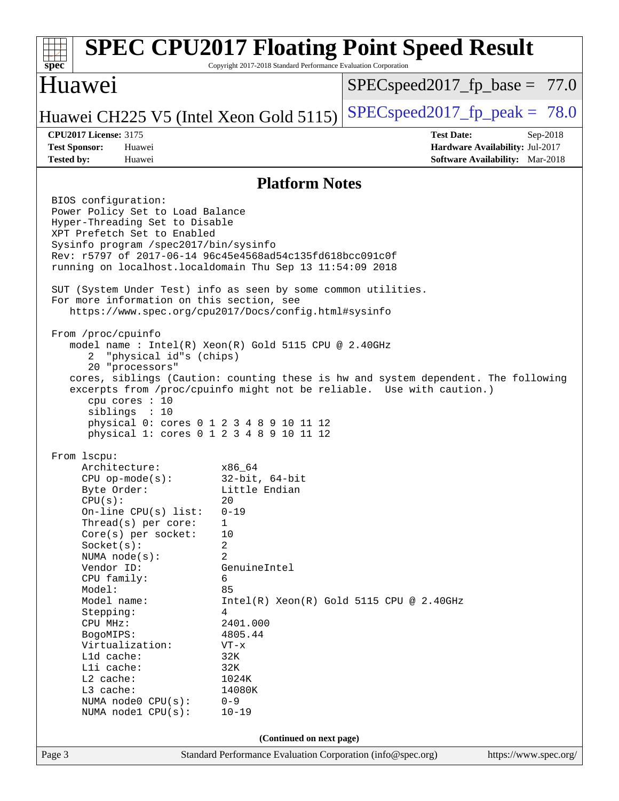#### Page 3 Standard Performance Evaluation Corporation [\(info@spec.org\)](mailto:info@spec.org) <https://www.spec.org/> **[spec](http://www.spec.org/) [SPEC CPU2017 Floating Point Speed Result](http://www.spec.org/auto/cpu2017/Docs/result-fields.html#SPECCPU2017FloatingPointSpeedResult)** Copyright 2017-2018 Standard Performance Evaluation Corporation Huawei Huawei CH225 V5 (Intel Xeon Gold 5115) SPECspeed 2017 fp peak =  $78.0$  $SPECspeed2017_fp\_base = 77.0$ **[CPU2017 License:](http://www.spec.org/auto/cpu2017/Docs/result-fields.html#CPU2017License)** 3175 **[Test Date:](http://www.spec.org/auto/cpu2017/Docs/result-fields.html#TestDate)** Sep-2018 **[Test Sponsor:](http://www.spec.org/auto/cpu2017/Docs/result-fields.html#TestSponsor)** Huawei **[Hardware Availability:](http://www.spec.org/auto/cpu2017/Docs/result-fields.html#HardwareAvailability)** Jul-2017 **[Tested by:](http://www.spec.org/auto/cpu2017/Docs/result-fields.html#Testedby)** Huawei **[Software Availability:](http://www.spec.org/auto/cpu2017/Docs/result-fields.html#SoftwareAvailability)** Mar-2018 **[Platform Notes](http://www.spec.org/auto/cpu2017/Docs/result-fields.html#PlatformNotes)** BIOS configuration: Power Policy Set to Load Balance Hyper-Threading Set to Disable XPT Prefetch Set to Enabled Sysinfo program /spec2017/bin/sysinfo Rev: r5797 of 2017-06-14 96c45e4568ad54c135fd618bcc091c0f running on localhost.localdomain Thu Sep 13 11:54:09 2018 SUT (System Under Test) info as seen by some common utilities. For more information on this section, see <https://www.spec.org/cpu2017/Docs/config.html#sysinfo> From /proc/cpuinfo model name : Intel(R) Xeon(R) Gold 5115 CPU @ 2.40GHz 2 "physical id"s (chips) 20 "processors" cores, siblings (Caution: counting these is hw and system dependent. The following excerpts from /proc/cpuinfo might not be reliable. Use with caution.) cpu cores : 10 siblings : 10 physical 0: cores 0 1 2 3 4 8 9 10 11 12 physical 1: cores 0 1 2 3 4 8 9 10 11 12 From lscpu: Architecture: x86\_64 CPU op-mode(s): 32-bit, 64-bit Byte Order: Little Endian  $CPU(s):$  20 On-line CPU(s) list: 0-19 Thread(s) per core: 1 Core(s) per socket: 10 Socket(s): 2 NUMA node(s): 2 Vendor ID: GenuineIntel CPU family: 6 Model: 85 Model name:  $Intel(R)$  Xeon(R) Gold 5115 CPU @ 2.40GHz Stepping: 4 CPU MHz: 2401.000 BogoMIPS: 4805.44 Virtualization: VT-x L1d cache: 32K L1i cache: 32K L2 cache: 1024K L3 cache: 14080K NUMA node0 CPU(s): 0-9 NUMA node1 CPU(s): 10-19 **(Continued on next page)**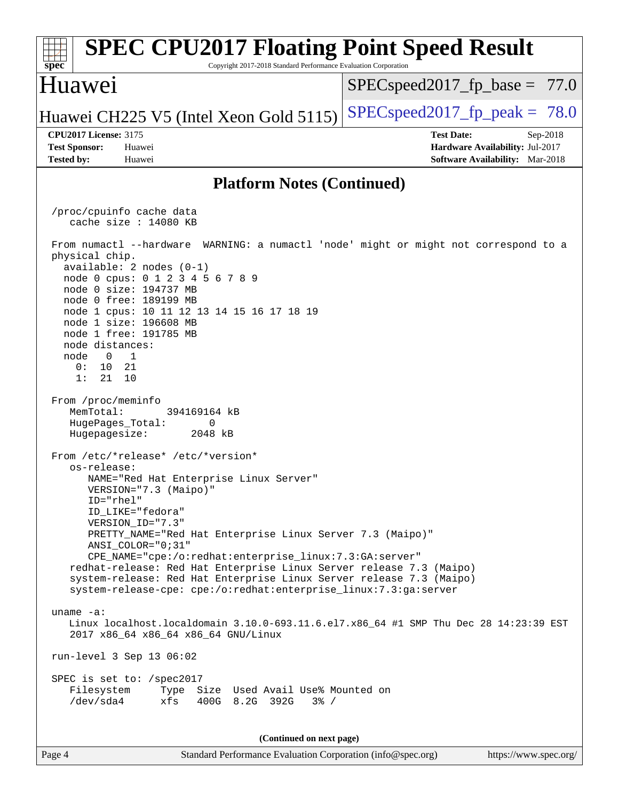#### Page 4 Standard Performance Evaluation Corporation [\(info@spec.org\)](mailto:info@spec.org) <https://www.spec.org/> **[spec](http://www.spec.org/) [SPEC CPU2017 Floating Point Speed Result](http://www.spec.org/auto/cpu2017/Docs/result-fields.html#SPECCPU2017FloatingPointSpeedResult)** Copyright 2017-2018 Standard Performance Evaluation Corporation Huawei Huawei CH225 V5 (Intel Xeon Gold 5115) SPECspeed 2017 fp peak =  $78.0$  $SPECspeed2017_fp\_base = 77.0$ **[CPU2017 License:](http://www.spec.org/auto/cpu2017/Docs/result-fields.html#CPU2017License)** 3175 **[Test Date:](http://www.spec.org/auto/cpu2017/Docs/result-fields.html#TestDate)** Sep-2018 **[Test Sponsor:](http://www.spec.org/auto/cpu2017/Docs/result-fields.html#TestSponsor)** Huawei **[Hardware Availability:](http://www.spec.org/auto/cpu2017/Docs/result-fields.html#HardwareAvailability)** Jul-2017 **[Tested by:](http://www.spec.org/auto/cpu2017/Docs/result-fields.html#Testedby)** Huawei **[Software Availability:](http://www.spec.org/auto/cpu2017/Docs/result-fields.html#SoftwareAvailability)** Mar-2018 **[Platform Notes \(Continued\)](http://www.spec.org/auto/cpu2017/Docs/result-fields.html#PlatformNotes)** /proc/cpuinfo cache data cache size : 14080 KB From numactl --hardware WARNING: a numactl 'node' might or might not correspond to a physical chip. available: 2 nodes (0-1) node 0 cpus: 0 1 2 3 4 5 6 7 8 9 node 0 size: 194737 MB node 0 free: 189199 MB node 1 cpus: 10 11 12 13 14 15 16 17 18 19 node 1 size: 196608 MB node 1 free: 191785 MB node distances: node 0 1 0: 10 21 1: 21 10 From /proc/meminfo MemTotal: 394169164 kB HugePages\_Total: 0 Hugepagesize: 2048 kB From /etc/\*release\* /etc/\*version\* os-release: NAME="Red Hat Enterprise Linux Server" VERSION="7.3 (Maipo)" ID="rhel" ID\_LIKE="fedora" VERSION\_ID="7.3" PRETTY\_NAME="Red Hat Enterprise Linux Server 7.3 (Maipo)" ANSI\_COLOR="0;31" CPE\_NAME="cpe:/o:redhat:enterprise\_linux:7.3:GA:server" redhat-release: Red Hat Enterprise Linux Server release 7.3 (Maipo) system-release: Red Hat Enterprise Linux Server release 7.3 (Maipo) system-release-cpe: cpe:/o:redhat:enterprise\_linux:7.3:ga:server uname -a: Linux localhost.localdomain 3.10.0-693.11.6.el7.x86\_64 #1 SMP Thu Dec 28 14:23:39 EST 2017 x86\_64 x86\_64 x86\_64 GNU/Linux run-level 3 Sep 13 06:02 SPEC is set to: /spec2017 Filesystem Type Size Used Avail Use% Mounted on /dev/sda4 xfs 400G 8.2G 392G 3% / **(Continued on next page)**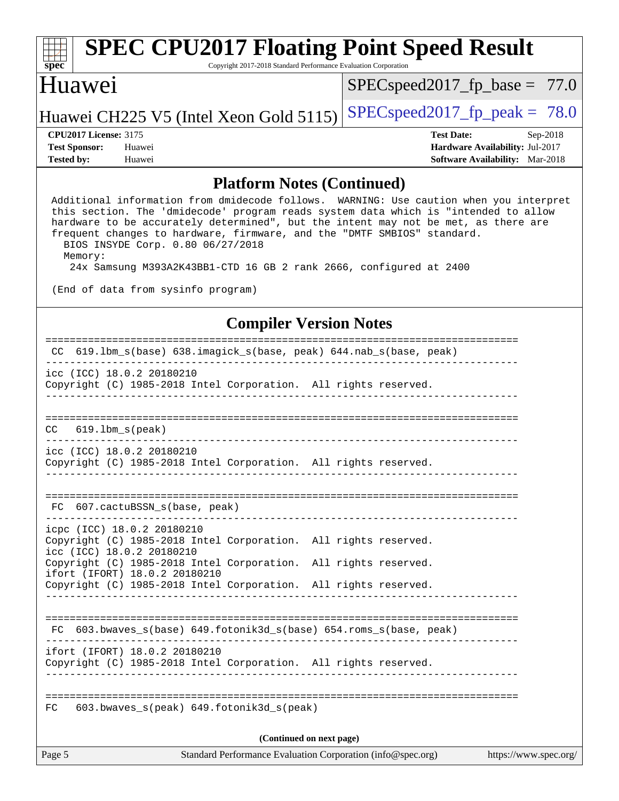# **[spec](http://www.spec.org/)**

# **[SPEC CPU2017 Floating Point Speed Result](http://www.spec.org/auto/cpu2017/Docs/result-fields.html#SPECCPU2017FloatingPointSpeedResult)**

Copyright 2017-2018 Standard Performance Evaluation Corporation

### Huawei

 $SPEC speed2017_fp\_base = 77.0$ 

### Huawei CH225 V5 (Intel Xeon Gold 5115) SPECspeed 2017 fp peak =  $78.0$

**[Tested by:](http://www.spec.org/auto/cpu2017/Docs/result-fields.html#Testedby)** Huawei **[Software Availability:](http://www.spec.org/auto/cpu2017/Docs/result-fields.html#SoftwareAvailability)** Mar-2018

**[CPU2017 License:](http://www.spec.org/auto/cpu2017/Docs/result-fields.html#CPU2017License)** 3175 **[Test Date:](http://www.spec.org/auto/cpu2017/Docs/result-fields.html#TestDate)** Sep-2018 **[Test Sponsor:](http://www.spec.org/auto/cpu2017/Docs/result-fields.html#TestSponsor)** Huawei **[Hardware Availability:](http://www.spec.org/auto/cpu2017/Docs/result-fields.html#HardwareAvailability)** Jul-2017

#### **[Platform Notes \(Continued\)](http://www.spec.org/auto/cpu2017/Docs/result-fields.html#PlatformNotes)**

 Additional information from dmidecode follows. WARNING: Use caution when you interpret this section. The 'dmidecode' program reads system data which is "intended to allow hardware to be accurately determined", but the intent may not be met, as there are frequent changes to hardware, firmware, and the "DMTF SMBIOS" standard. BIOS INSYDE Corp. 0.80 06/27/2018 Memory:

24x Samsung M393A2K43BB1-CTD 16 GB 2 rank 2666, configured at 2400

(End of data from sysinfo program)

#### **[Compiler Version Notes](http://www.spec.org/auto/cpu2017/Docs/result-fields.html#CompilerVersionNotes)**

| Page 5 |                                                                                                                            | Standard Performance Evaluation Corporation (info@spec.org) | https://www.spec.org/ |
|--------|----------------------------------------------------------------------------------------------------------------------------|-------------------------------------------------------------|-----------------------|
|        |                                                                                                                            | (Continued on next page)                                    |                       |
| FC     | 603.bwaves_s(peak) 649.fotonik3d_s(peak)                                                                                   |                                                             |                       |
|        | ifort (IFORT) 18.0.2 20180210<br>Copyright (C) 1985-2018 Intel Corporation. All rights reserved.                           |                                                             |                       |
|        | FC 603.bwaves_s(base) 649.fotonik3d_s(base) 654.roms_s(base, peak)                                                         |                                                             |                       |
|        | Copyright (C) 1985-2018 Intel Corporation. All rights reserved.                                                            |                                                             |                       |
|        | Copyright (C) 1985-2018 Intel Corporation. All rights reserved.<br>ifort (IFORT) 18.0.2 20180210                           |                                                             |                       |
|        | icpc (ICC) 18.0.2 20180210<br>Copyright (C) 1985-2018 Intel Corporation. All rights reserved.<br>icc (ICC) 18.0.2 20180210 |                                                             |                       |
|        | FC 607. cactuBSSN s(base, peak)<br>______________________________                                                          |                                                             |                       |
|        | icc (ICC) 18.0.2 20180210<br>Copyright (C) 1985-2018 Intel Corporation. All rights reserved.                               |                                                             |                       |
|        | $CC$ 619.1bm $s$ (peak)                                                                                                    |                                                             |                       |
|        |                                                                                                                            |                                                             |                       |
|        | icc (ICC) 18.0.2 20180210<br>Copyright (C) 1985-2018 Intel Corporation. All rights reserved.                               |                                                             |                       |
|        | CC 619.1bm_s(base) 638.imagick_s(base, peak) 644.nab_s(base, peak)                                                         |                                                             |                       |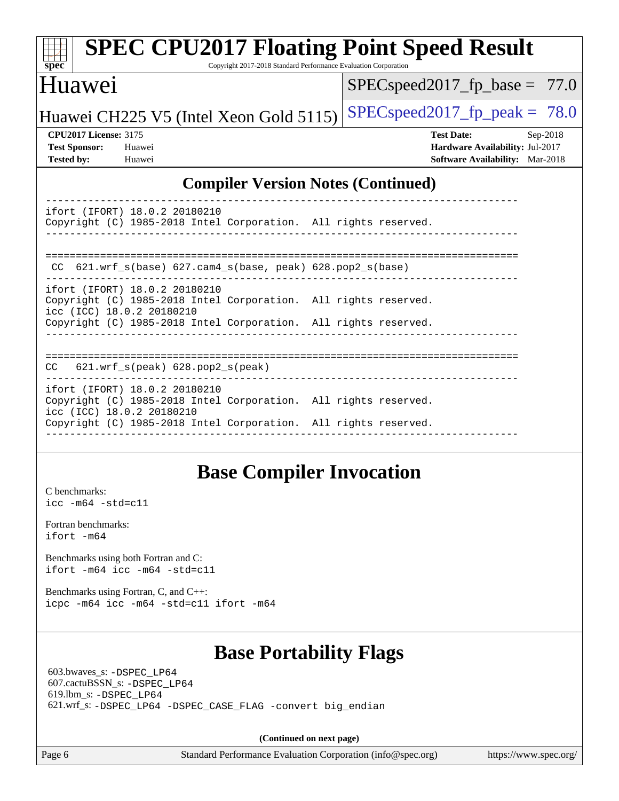| <b>SPEC CPU2017 Floating Point Speed Result</b><br>spec<br>Copyright 2017-2018 Standard Performance Evaluation Corporation |                                        |  |  |  |  |  |  |
|----------------------------------------------------------------------------------------------------------------------------|----------------------------------------|--|--|--|--|--|--|
| Huawei                                                                                                                     | $SPEC speed2017_f p\_base = 77.0$      |  |  |  |  |  |  |
| Huawei CH225 V5 (Intel Xeon Gold 5115)                                                                                     | $SPEC speed2017$ _fp_peak = 78.0       |  |  |  |  |  |  |
| <b>CPU2017 License: 3175</b>                                                                                               | <b>Test Date:</b><br>Sep-2018          |  |  |  |  |  |  |
| <b>Test Sponsor:</b><br>Huawei                                                                                             | Hardware Availability: Jul-2017        |  |  |  |  |  |  |
| <b>Tested by:</b><br>Huawei                                                                                                | <b>Software Availability:</b> Mar-2018 |  |  |  |  |  |  |
| <b>Compiler Version Notes (Continued)</b>                                                                                  |                                        |  |  |  |  |  |  |
| ifort (IFORT) 18.0.2 20180210                                                                                              |                                        |  |  |  |  |  |  |
| Copyright (C) 1985-2018 Intel Corporation. All rights reserved.                                                            |                                        |  |  |  |  |  |  |
| CC 621.wrf_s(base) 627.cam4_s(base, peak) 628.pop2_s(base)                                                                 |                                        |  |  |  |  |  |  |
| ifort (IFORT) 18.0.2 20180210                                                                                              |                                        |  |  |  |  |  |  |
| Copyright (C) 1985-2018 Intel Corporation. All rights reserved.                                                            |                                        |  |  |  |  |  |  |
| icc (ICC) 18.0.2 20180210                                                                                                  |                                        |  |  |  |  |  |  |
| Copyright (C) 1985-2018 Intel Corporation. All rights reserved.                                                            |                                        |  |  |  |  |  |  |
| $621.wrf_s(peak)$ $628.pop2_s(peak)$<br><b>CC</b>                                                                          |                                        |  |  |  |  |  |  |
| $ifort$ (IFORT) 18 0 2 20180210                                                                                            |                                        |  |  |  |  |  |  |

ifort (IFORT) 18.0.2 20180210 Copyright (C) 1985-2018 Intel Corporation. All rights reserved. icc (ICC) 18.0.2 20180210 Copyright (C) 1985-2018 Intel Corporation. All rights reserved. ------------------------------------------------------------------------------

### **[Base Compiler Invocation](http://www.spec.org/auto/cpu2017/Docs/result-fields.html#BaseCompilerInvocation)**

[C benchmarks](http://www.spec.org/auto/cpu2017/Docs/result-fields.html#Cbenchmarks): [icc -m64 -std=c11](http://www.spec.org/cpu2017/results/res2018q4/cpu2017-20180913-08855.flags.html#user_CCbase_intel_icc_64bit_c11_33ee0cdaae7deeeab2a9725423ba97205ce30f63b9926c2519791662299b76a0318f32ddfffdc46587804de3178b4f9328c46fa7c2b0cd779d7a61945c91cd35)

[Fortran benchmarks](http://www.spec.org/auto/cpu2017/Docs/result-fields.html#Fortranbenchmarks): [ifort -m64](http://www.spec.org/cpu2017/results/res2018q4/cpu2017-20180913-08855.flags.html#user_FCbase_intel_ifort_64bit_24f2bb282fbaeffd6157abe4f878425411749daecae9a33200eee2bee2fe76f3b89351d69a8130dd5949958ce389cf37ff59a95e7a40d588e8d3a57e0c3fd751)

[Benchmarks using both Fortran and C](http://www.spec.org/auto/cpu2017/Docs/result-fields.html#BenchmarksusingbothFortranandC): [ifort -m64](http://www.spec.org/cpu2017/results/res2018q4/cpu2017-20180913-08855.flags.html#user_CC_FCbase_intel_ifort_64bit_24f2bb282fbaeffd6157abe4f878425411749daecae9a33200eee2bee2fe76f3b89351d69a8130dd5949958ce389cf37ff59a95e7a40d588e8d3a57e0c3fd751) [icc -m64 -std=c11](http://www.spec.org/cpu2017/results/res2018q4/cpu2017-20180913-08855.flags.html#user_CC_FCbase_intel_icc_64bit_c11_33ee0cdaae7deeeab2a9725423ba97205ce30f63b9926c2519791662299b76a0318f32ddfffdc46587804de3178b4f9328c46fa7c2b0cd779d7a61945c91cd35)

[Benchmarks using Fortran, C, and C++:](http://www.spec.org/auto/cpu2017/Docs/result-fields.html#BenchmarksusingFortranCandCXX) [icpc -m64](http://www.spec.org/cpu2017/results/res2018q4/cpu2017-20180913-08855.flags.html#user_CC_CXX_FCbase_intel_icpc_64bit_4ecb2543ae3f1412ef961e0650ca070fec7b7afdcd6ed48761b84423119d1bf6bdf5cad15b44d48e7256388bc77273b966e5eb805aefd121eb22e9299b2ec9d9) [icc -m64 -std=c11](http://www.spec.org/cpu2017/results/res2018q4/cpu2017-20180913-08855.flags.html#user_CC_CXX_FCbase_intel_icc_64bit_c11_33ee0cdaae7deeeab2a9725423ba97205ce30f63b9926c2519791662299b76a0318f32ddfffdc46587804de3178b4f9328c46fa7c2b0cd779d7a61945c91cd35) [ifort -m64](http://www.spec.org/cpu2017/results/res2018q4/cpu2017-20180913-08855.flags.html#user_CC_CXX_FCbase_intel_ifort_64bit_24f2bb282fbaeffd6157abe4f878425411749daecae9a33200eee2bee2fe76f3b89351d69a8130dd5949958ce389cf37ff59a95e7a40d588e8d3a57e0c3fd751)

## **[Base Portability Flags](http://www.spec.org/auto/cpu2017/Docs/result-fields.html#BasePortabilityFlags)**

 603.bwaves\_s: [-DSPEC\\_LP64](http://www.spec.org/cpu2017/results/res2018q4/cpu2017-20180913-08855.flags.html#suite_basePORTABILITY603_bwaves_s_DSPEC_LP64) 607.cactuBSSN\_s: [-DSPEC\\_LP64](http://www.spec.org/cpu2017/results/res2018q4/cpu2017-20180913-08855.flags.html#suite_basePORTABILITY607_cactuBSSN_s_DSPEC_LP64) 619.lbm\_s: [-DSPEC\\_LP64](http://www.spec.org/cpu2017/results/res2018q4/cpu2017-20180913-08855.flags.html#suite_basePORTABILITY619_lbm_s_DSPEC_LP64) 621.wrf\_s: [-DSPEC\\_LP64](http://www.spec.org/cpu2017/results/res2018q4/cpu2017-20180913-08855.flags.html#suite_basePORTABILITY621_wrf_s_DSPEC_LP64) [-DSPEC\\_CASE\\_FLAG](http://www.spec.org/cpu2017/results/res2018q4/cpu2017-20180913-08855.flags.html#b621.wrf_s_baseCPORTABILITY_DSPEC_CASE_FLAG) [-convert big\\_endian](http://www.spec.org/cpu2017/results/res2018q4/cpu2017-20180913-08855.flags.html#user_baseFPORTABILITY621_wrf_s_convert_big_endian_c3194028bc08c63ac5d04de18c48ce6d347e4e562e8892b8bdbdc0214820426deb8554edfa529a3fb25a586e65a3d812c835984020483e7e73212c4d31a38223)

**(Continued on next page)**

Page 6 Standard Performance Evaluation Corporation [\(info@spec.org\)](mailto:info@spec.org) <https://www.spec.org/>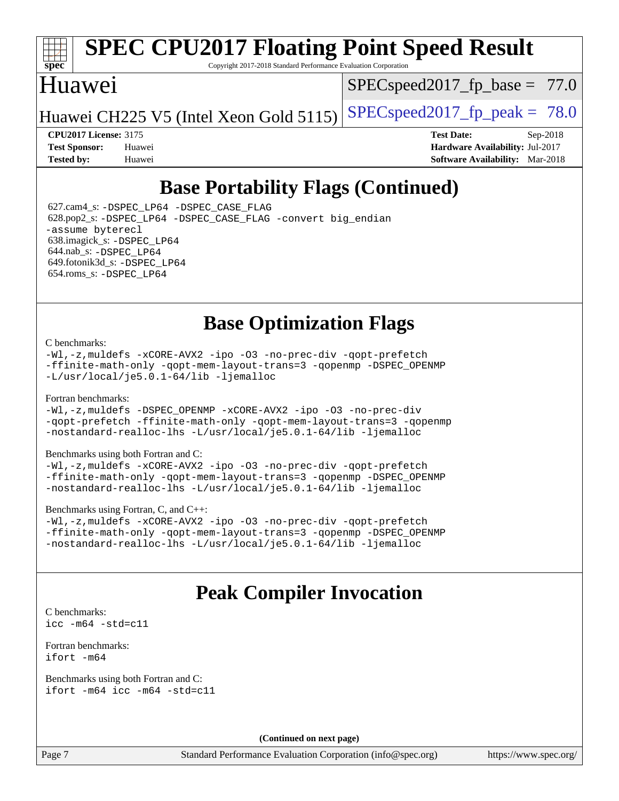

# **[SPEC CPU2017 Floating Point Speed Result](http://www.spec.org/auto/cpu2017/Docs/result-fields.html#SPECCPU2017FloatingPointSpeedResult)**

Copyright 2017-2018 Standard Performance Evaluation Corporation

### Huawei

 $SPECspeed2017_fp\_base = 77.0$ 

Huawei CH225 V5 (Intel Xeon Gold 5115) SPECspeed 2017 fp peak =  $78.0$ 

**[CPU2017 License:](http://www.spec.org/auto/cpu2017/Docs/result-fields.html#CPU2017License)** 3175 **[Test Date:](http://www.spec.org/auto/cpu2017/Docs/result-fields.html#TestDate)** Sep-2018 **[Test Sponsor:](http://www.spec.org/auto/cpu2017/Docs/result-fields.html#TestSponsor)** Huawei **[Hardware Availability:](http://www.spec.org/auto/cpu2017/Docs/result-fields.html#HardwareAvailability)** Jul-2017 **[Tested by:](http://www.spec.org/auto/cpu2017/Docs/result-fields.html#Testedby)** Huawei **[Software Availability:](http://www.spec.org/auto/cpu2017/Docs/result-fields.html#SoftwareAvailability)** Mar-2018

## **[Base Portability Flags \(Continued\)](http://www.spec.org/auto/cpu2017/Docs/result-fields.html#BasePortabilityFlags)**

 627.cam4\_s: [-DSPEC\\_LP64](http://www.spec.org/cpu2017/results/res2018q4/cpu2017-20180913-08855.flags.html#suite_basePORTABILITY627_cam4_s_DSPEC_LP64) [-DSPEC\\_CASE\\_FLAG](http://www.spec.org/cpu2017/results/res2018q4/cpu2017-20180913-08855.flags.html#b627.cam4_s_baseCPORTABILITY_DSPEC_CASE_FLAG) 628.pop2\_s: [-DSPEC\\_LP64](http://www.spec.org/cpu2017/results/res2018q4/cpu2017-20180913-08855.flags.html#suite_basePORTABILITY628_pop2_s_DSPEC_LP64) [-DSPEC\\_CASE\\_FLAG](http://www.spec.org/cpu2017/results/res2018q4/cpu2017-20180913-08855.flags.html#b628.pop2_s_baseCPORTABILITY_DSPEC_CASE_FLAG) [-convert big\\_endian](http://www.spec.org/cpu2017/results/res2018q4/cpu2017-20180913-08855.flags.html#user_baseFPORTABILITY628_pop2_s_convert_big_endian_c3194028bc08c63ac5d04de18c48ce6d347e4e562e8892b8bdbdc0214820426deb8554edfa529a3fb25a586e65a3d812c835984020483e7e73212c4d31a38223) [-assume byterecl](http://www.spec.org/cpu2017/results/res2018q4/cpu2017-20180913-08855.flags.html#user_baseFPORTABILITY628_pop2_s_assume_byterecl_7e47d18b9513cf18525430bbf0f2177aa9bf368bc7a059c09b2c06a34b53bd3447c950d3f8d6c70e3faf3a05c8557d66a5798b567902e8849adc142926523472) 638.imagick\_s: [-DSPEC\\_LP64](http://www.spec.org/cpu2017/results/res2018q4/cpu2017-20180913-08855.flags.html#suite_basePORTABILITY638_imagick_s_DSPEC_LP64) 644.nab\_s: [-DSPEC\\_LP64](http://www.spec.org/cpu2017/results/res2018q4/cpu2017-20180913-08855.flags.html#suite_basePORTABILITY644_nab_s_DSPEC_LP64) 649.fotonik3d\_s: [-DSPEC\\_LP64](http://www.spec.org/cpu2017/results/res2018q4/cpu2017-20180913-08855.flags.html#suite_basePORTABILITY649_fotonik3d_s_DSPEC_LP64) 654.roms\_s: [-DSPEC\\_LP64](http://www.spec.org/cpu2017/results/res2018q4/cpu2017-20180913-08855.flags.html#suite_basePORTABILITY654_roms_s_DSPEC_LP64)

## **[Base Optimization Flags](http://www.spec.org/auto/cpu2017/Docs/result-fields.html#BaseOptimizationFlags)**

#### [C benchmarks](http://www.spec.org/auto/cpu2017/Docs/result-fields.html#Cbenchmarks):

[-Wl,-z,muldefs](http://www.spec.org/cpu2017/results/res2018q4/cpu2017-20180913-08855.flags.html#user_CCbase_link_force_multiple1_b4cbdb97b34bdee9ceefcfe54f4c8ea74255f0b02a4b23e853cdb0e18eb4525ac79b5a88067c842dd0ee6996c24547a27a4b99331201badda8798ef8a743f577) [-xCORE-AVX2](http://www.spec.org/cpu2017/results/res2018q4/cpu2017-20180913-08855.flags.html#user_CCbase_f-xCORE-AVX2) [-ipo](http://www.spec.org/cpu2017/results/res2018q4/cpu2017-20180913-08855.flags.html#user_CCbase_f-ipo) [-O3](http://www.spec.org/cpu2017/results/res2018q4/cpu2017-20180913-08855.flags.html#user_CCbase_f-O3) [-no-prec-div](http://www.spec.org/cpu2017/results/res2018q4/cpu2017-20180913-08855.flags.html#user_CCbase_f-no-prec-div) [-qopt-prefetch](http://www.spec.org/cpu2017/results/res2018q4/cpu2017-20180913-08855.flags.html#user_CCbase_f-qopt-prefetch) [-ffinite-math-only](http://www.spec.org/cpu2017/results/res2018q4/cpu2017-20180913-08855.flags.html#user_CCbase_f_finite_math_only_cb91587bd2077682c4b38af759c288ed7c732db004271a9512da14a4f8007909a5f1427ecbf1a0fb78ff2a814402c6114ac565ca162485bbcae155b5e4258871) [-qopt-mem-layout-trans=3](http://www.spec.org/cpu2017/results/res2018q4/cpu2017-20180913-08855.flags.html#user_CCbase_f-qopt-mem-layout-trans_de80db37974c74b1f0e20d883f0b675c88c3b01e9d123adea9b28688d64333345fb62bc4a798493513fdb68f60282f9a726aa07f478b2f7113531aecce732043) [-qopenmp](http://www.spec.org/cpu2017/results/res2018q4/cpu2017-20180913-08855.flags.html#user_CCbase_qopenmp_16be0c44f24f464004c6784a7acb94aca937f053568ce72f94b139a11c7c168634a55f6653758ddd83bcf7b8463e8028bb0b48b77bcddc6b78d5d95bb1df2967) [-DSPEC\\_OPENMP](http://www.spec.org/cpu2017/results/res2018q4/cpu2017-20180913-08855.flags.html#suite_CCbase_DSPEC_OPENMP) [-L/usr/local/je5.0.1-64/lib](http://www.spec.org/cpu2017/results/res2018q4/cpu2017-20180913-08855.flags.html#user_CCbase_jemalloc_link_path64_4b10a636b7bce113509b17f3bd0d6226c5fb2346b9178c2d0232c14f04ab830f976640479e5c33dc2bcbbdad86ecfb6634cbbd4418746f06f368b512fced5394) [-ljemalloc](http://www.spec.org/cpu2017/results/res2018q4/cpu2017-20180913-08855.flags.html#user_CCbase_jemalloc_link_lib_d1249b907c500fa1c0672f44f562e3d0f79738ae9e3c4a9c376d49f265a04b9c99b167ecedbf6711b3085be911c67ff61f150a17b3472be731631ba4d0471706)

#### [Fortran benchmarks](http://www.spec.org/auto/cpu2017/Docs/result-fields.html#Fortranbenchmarks):

[-Wl,-z,muldefs](http://www.spec.org/cpu2017/results/res2018q4/cpu2017-20180913-08855.flags.html#user_FCbase_link_force_multiple1_b4cbdb97b34bdee9ceefcfe54f4c8ea74255f0b02a4b23e853cdb0e18eb4525ac79b5a88067c842dd0ee6996c24547a27a4b99331201badda8798ef8a743f577) [-DSPEC\\_OPENMP](http://www.spec.org/cpu2017/results/res2018q4/cpu2017-20180913-08855.flags.html#suite_FCbase_DSPEC_OPENMP) [-xCORE-AVX2](http://www.spec.org/cpu2017/results/res2018q4/cpu2017-20180913-08855.flags.html#user_FCbase_f-xCORE-AVX2) [-ipo](http://www.spec.org/cpu2017/results/res2018q4/cpu2017-20180913-08855.flags.html#user_FCbase_f-ipo) [-O3](http://www.spec.org/cpu2017/results/res2018q4/cpu2017-20180913-08855.flags.html#user_FCbase_f-O3) [-no-prec-div](http://www.spec.org/cpu2017/results/res2018q4/cpu2017-20180913-08855.flags.html#user_FCbase_f-no-prec-div) [-qopt-prefetch](http://www.spec.org/cpu2017/results/res2018q4/cpu2017-20180913-08855.flags.html#user_FCbase_f-qopt-prefetch) [-ffinite-math-only](http://www.spec.org/cpu2017/results/res2018q4/cpu2017-20180913-08855.flags.html#user_FCbase_f_finite_math_only_cb91587bd2077682c4b38af759c288ed7c732db004271a9512da14a4f8007909a5f1427ecbf1a0fb78ff2a814402c6114ac565ca162485bbcae155b5e4258871) [-qopt-mem-layout-trans=3](http://www.spec.org/cpu2017/results/res2018q4/cpu2017-20180913-08855.flags.html#user_FCbase_f-qopt-mem-layout-trans_de80db37974c74b1f0e20d883f0b675c88c3b01e9d123adea9b28688d64333345fb62bc4a798493513fdb68f60282f9a726aa07f478b2f7113531aecce732043) [-qopenmp](http://www.spec.org/cpu2017/results/res2018q4/cpu2017-20180913-08855.flags.html#user_FCbase_qopenmp_16be0c44f24f464004c6784a7acb94aca937f053568ce72f94b139a11c7c168634a55f6653758ddd83bcf7b8463e8028bb0b48b77bcddc6b78d5d95bb1df2967) [-nostandard-realloc-lhs](http://www.spec.org/cpu2017/results/res2018q4/cpu2017-20180913-08855.flags.html#user_FCbase_f_2003_std_realloc_82b4557e90729c0f113870c07e44d33d6f5a304b4f63d4c15d2d0f1fab99f5daaed73bdb9275d9ae411527f28b936061aa8b9c8f2d63842963b95c9dd6426b8a) [-L/usr/local/je5.0.1-64/lib](http://www.spec.org/cpu2017/results/res2018q4/cpu2017-20180913-08855.flags.html#user_FCbase_jemalloc_link_path64_4b10a636b7bce113509b17f3bd0d6226c5fb2346b9178c2d0232c14f04ab830f976640479e5c33dc2bcbbdad86ecfb6634cbbd4418746f06f368b512fced5394) [-ljemalloc](http://www.spec.org/cpu2017/results/res2018q4/cpu2017-20180913-08855.flags.html#user_FCbase_jemalloc_link_lib_d1249b907c500fa1c0672f44f562e3d0f79738ae9e3c4a9c376d49f265a04b9c99b167ecedbf6711b3085be911c67ff61f150a17b3472be731631ba4d0471706)

#### [Benchmarks using both Fortran and C](http://www.spec.org/auto/cpu2017/Docs/result-fields.html#BenchmarksusingbothFortranandC):

[-Wl,-z,muldefs](http://www.spec.org/cpu2017/results/res2018q4/cpu2017-20180913-08855.flags.html#user_CC_FCbase_link_force_multiple1_b4cbdb97b34bdee9ceefcfe54f4c8ea74255f0b02a4b23e853cdb0e18eb4525ac79b5a88067c842dd0ee6996c24547a27a4b99331201badda8798ef8a743f577) [-xCORE-AVX2](http://www.spec.org/cpu2017/results/res2018q4/cpu2017-20180913-08855.flags.html#user_CC_FCbase_f-xCORE-AVX2) [-ipo](http://www.spec.org/cpu2017/results/res2018q4/cpu2017-20180913-08855.flags.html#user_CC_FCbase_f-ipo) [-O3](http://www.spec.org/cpu2017/results/res2018q4/cpu2017-20180913-08855.flags.html#user_CC_FCbase_f-O3) [-no-prec-div](http://www.spec.org/cpu2017/results/res2018q4/cpu2017-20180913-08855.flags.html#user_CC_FCbase_f-no-prec-div) [-qopt-prefetch](http://www.spec.org/cpu2017/results/res2018q4/cpu2017-20180913-08855.flags.html#user_CC_FCbase_f-qopt-prefetch) [-ffinite-math-only](http://www.spec.org/cpu2017/results/res2018q4/cpu2017-20180913-08855.flags.html#user_CC_FCbase_f_finite_math_only_cb91587bd2077682c4b38af759c288ed7c732db004271a9512da14a4f8007909a5f1427ecbf1a0fb78ff2a814402c6114ac565ca162485bbcae155b5e4258871) [-qopt-mem-layout-trans=3](http://www.spec.org/cpu2017/results/res2018q4/cpu2017-20180913-08855.flags.html#user_CC_FCbase_f-qopt-mem-layout-trans_de80db37974c74b1f0e20d883f0b675c88c3b01e9d123adea9b28688d64333345fb62bc4a798493513fdb68f60282f9a726aa07f478b2f7113531aecce732043) [-qopenmp](http://www.spec.org/cpu2017/results/res2018q4/cpu2017-20180913-08855.flags.html#user_CC_FCbase_qopenmp_16be0c44f24f464004c6784a7acb94aca937f053568ce72f94b139a11c7c168634a55f6653758ddd83bcf7b8463e8028bb0b48b77bcddc6b78d5d95bb1df2967) [-DSPEC\\_OPENMP](http://www.spec.org/cpu2017/results/res2018q4/cpu2017-20180913-08855.flags.html#suite_CC_FCbase_DSPEC_OPENMP) [-nostandard-realloc-lhs](http://www.spec.org/cpu2017/results/res2018q4/cpu2017-20180913-08855.flags.html#user_CC_FCbase_f_2003_std_realloc_82b4557e90729c0f113870c07e44d33d6f5a304b4f63d4c15d2d0f1fab99f5daaed73bdb9275d9ae411527f28b936061aa8b9c8f2d63842963b95c9dd6426b8a) [-L/usr/local/je5.0.1-64/lib](http://www.spec.org/cpu2017/results/res2018q4/cpu2017-20180913-08855.flags.html#user_CC_FCbase_jemalloc_link_path64_4b10a636b7bce113509b17f3bd0d6226c5fb2346b9178c2d0232c14f04ab830f976640479e5c33dc2bcbbdad86ecfb6634cbbd4418746f06f368b512fced5394) [-ljemalloc](http://www.spec.org/cpu2017/results/res2018q4/cpu2017-20180913-08855.flags.html#user_CC_FCbase_jemalloc_link_lib_d1249b907c500fa1c0672f44f562e3d0f79738ae9e3c4a9c376d49f265a04b9c99b167ecedbf6711b3085be911c67ff61f150a17b3472be731631ba4d0471706)

#### [Benchmarks using Fortran, C, and C++:](http://www.spec.org/auto/cpu2017/Docs/result-fields.html#BenchmarksusingFortranCandCXX)

[-Wl,-z,muldefs](http://www.spec.org/cpu2017/results/res2018q4/cpu2017-20180913-08855.flags.html#user_CC_CXX_FCbase_link_force_multiple1_b4cbdb97b34bdee9ceefcfe54f4c8ea74255f0b02a4b23e853cdb0e18eb4525ac79b5a88067c842dd0ee6996c24547a27a4b99331201badda8798ef8a743f577) [-xCORE-AVX2](http://www.spec.org/cpu2017/results/res2018q4/cpu2017-20180913-08855.flags.html#user_CC_CXX_FCbase_f-xCORE-AVX2) [-ipo](http://www.spec.org/cpu2017/results/res2018q4/cpu2017-20180913-08855.flags.html#user_CC_CXX_FCbase_f-ipo) [-O3](http://www.spec.org/cpu2017/results/res2018q4/cpu2017-20180913-08855.flags.html#user_CC_CXX_FCbase_f-O3) [-no-prec-div](http://www.spec.org/cpu2017/results/res2018q4/cpu2017-20180913-08855.flags.html#user_CC_CXX_FCbase_f-no-prec-div) [-qopt-prefetch](http://www.spec.org/cpu2017/results/res2018q4/cpu2017-20180913-08855.flags.html#user_CC_CXX_FCbase_f-qopt-prefetch) [-ffinite-math-only](http://www.spec.org/cpu2017/results/res2018q4/cpu2017-20180913-08855.flags.html#user_CC_CXX_FCbase_f_finite_math_only_cb91587bd2077682c4b38af759c288ed7c732db004271a9512da14a4f8007909a5f1427ecbf1a0fb78ff2a814402c6114ac565ca162485bbcae155b5e4258871) [-qopt-mem-layout-trans=3](http://www.spec.org/cpu2017/results/res2018q4/cpu2017-20180913-08855.flags.html#user_CC_CXX_FCbase_f-qopt-mem-layout-trans_de80db37974c74b1f0e20d883f0b675c88c3b01e9d123adea9b28688d64333345fb62bc4a798493513fdb68f60282f9a726aa07f478b2f7113531aecce732043) [-qopenmp](http://www.spec.org/cpu2017/results/res2018q4/cpu2017-20180913-08855.flags.html#user_CC_CXX_FCbase_qopenmp_16be0c44f24f464004c6784a7acb94aca937f053568ce72f94b139a11c7c168634a55f6653758ddd83bcf7b8463e8028bb0b48b77bcddc6b78d5d95bb1df2967) [-DSPEC\\_OPENMP](http://www.spec.org/cpu2017/results/res2018q4/cpu2017-20180913-08855.flags.html#suite_CC_CXX_FCbase_DSPEC_OPENMP) [-nostandard-realloc-lhs](http://www.spec.org/cpu2017/results/res2018q4/cpu2017-20180913-08855.flags.html#user_CC_CXX_FCbase_f_2003_std_realloc_82b4557e90729c0f113870c07e44d33d6f5a304b4f63d4c15d2d0f1fab99f5daaed73bdb9275d9ae411527f28b936061aa8b9c8f2d63842963b95c9dd6426b8a) [-L/usr/local/je5.0.1-64/lib](http://www.spec.org/cpu2017/results/res2018q4/cpu2017-20180913-08855.flags.html#user_CC_CXX_FCbase_jemalloc_link_path64_4b10a636b7bce113509b17f3bd0d6226c5fb2346b9178c2d0232c14f04ab830f976640479e5c33dc2bcbbdad86ecfb6634cbbd4418746f06f368b512fced5394) [-ljemalloc](http://www.spec.org/cpu2017/results/res2018q4/cpu2017-20180913-08855.flags.html#user_CC_CXX_FCbase_jemalloc_link_lib_d1249b907c500fa1c0672f44f562e3d0f79738ae9e3c4a9c376d49f265a04b9c99b167ecedbf6711b3085be911c67ff61f150a17b3472be731631ba4d0471706)

## **[Peak Compiler Invocation](http://www.spec.org/auto/cpu2017/Docs/result-fields.html#PeakCompilerInvocation)**

[C benchmarks](http://www.spec.org/auto/cpu2017/Docs/result-fields.html#Cbenchmarks): [icc -m64 -std=c11](http://www.spec.org/cpu2017/results/res2018q4/cpu2017-20180913-08855.flags.html#user_CCpeak_intel_icc_64bit_c11_33ee0cdaae7deeeab2a9725423ba97205ce30f63b9926c2519791662299b76a0318f32ddfffdc46587804de3178b4f9328c46fa7c2b0cd779d7a61945c91cd35)

[Fortran benchmarks](http://www.spec.org/auto/cpu2017/Docs/result-fields.html#Fortranbenchmarks): [ifort -m64](http://www.spec.org/cpu2017/results/res2018q4/cpu2017-20180913-08855.flags.html#user_FCpeak_intel_ifort_64bit_24f2bb282fbaeffd6157abe4f878425411749daecae9a33200eee2bee2fe76f3b89351d69a8130dd5949958ce389cf37ff59a95e7a40d588e8d3a57e0c3fd751)

[Benchmarks using both Fortran and C](http://www.spec.org/auto/cpu2017/Docs/result-fields.html#BenchmarksusingbothFortranandC): [ifort -m64](http://www.spec.org/cpu2017/results/res2018q4/cpu2017-20180913-08855.flags.html#user_CC_FCpeak_intel_ifort_64bit_24f2bb282fbaeffd6157abe4f878425411749daecae9a33200eee2bee2fe76f3b89351d69a8130dd5949958ce389cf37ff59a95e7a40d588e8d3a57e0c3fd751) [icc -m64 -std=c11](http://www.spec.org/cpu2017/results/res2018q4/cpu2017-20180913-08855.flags.html#user_CC_FCpeak_intel_icc_64bit_c11_33ee0cdaae7deeeab2a9725423ba97205ce30f63b9926c2519791662299b76a0318f32ddfffdc46587804de3178b4f9328c46fa7c2b0cd779d7a61945c91cd35)

**(Continued on next page)**

Page 7 Standard Performance Evaluation Corporation [\(info@spec.org\)](mailto:info@spec.org) <https://www.spec.org/>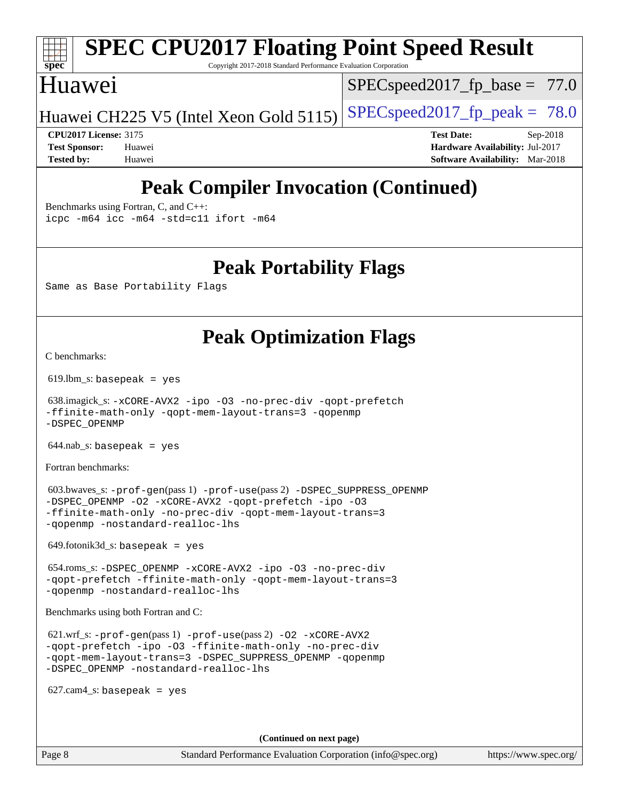# **[spec](http://www.spec.org/)**

# **[SPEC CPU2017 Floating Point Speed Result](http://www.spec.org/auto/cpu2017/Docs/result-fields.html#SPECCPU2017FloatingPointSpeedResult)**

Copyright 2017-2018 Standard Performance Evaluation Corporation

### Huawei

 $SPECspeed2017_fp\_base = 77.0$ 

Huawei CH225 V5 (Intel Xeon Gold 5115) SPECspeed 2017 fp peak =  $78.0$ 

**[CPU2017 License:](http://www.spec.org/auto/cpu2017/Docs/result-fields.html#CPU2017License)** 3175 **[Test Date:](http://www.spec.org/auto/cpu2017/Docs/result-fields.html#TestDate)** Sep-2018 **[Test Sponsor:](http://www.spec.org/auto/cpu2017/Docs/result-fields.html#TestSponsor)** Huawei **[Hardware Availability:](http://www.spec.org/auto/cpu2017/Docs/result-fields.html#HardwareAvailability)** Jul-2017 **[Tested by:](http://www.spec.org/auto/cpu2017/Docs/result-fields.html#Testedby)** Huawei **[Software Availability:](http://www.spec.org/auto/cpu2017/Docs/result-fields.html#SoftwareAvailability)** Mar-2018

## **[Peak Compiler Invocation \(Continued\)](http://www.spec.org/auto/cpu2017/Docs/result-fields.html#PeakCompilerInvocation)**

[Benchmarks using Fortran, C, and C++:](http://www.spec.org/auto/cpu2017/Docs/result-fields.html#BenchmarksusingFortranCandCXX) [icpc -m64](http://www.spec.org/cpu2017/results/res2018q4/cpu2017-20180913-08855.flags.html#user_CC_CXX_FCpeak_intel_icpc_64bit_4ecb2543ae3f1412ef961e0650ca070fec7b7afdcd6ed48761b84423119d1bf6bdf5cad15b44d48e7256388bc77273b966e5eb805aefd121eb22e9299b2ec9d9) [icc -m64 -std=c11](http://www.spec.org/cpu2017/results/res2018q4/cpu2017-20180913-08855.flags.html#user_CC_CXX_FCpeak_intel_icc_64bit_c11_33ee0cdaae7deeeab2a9725423ba97205ce30f63b9926c2519791662299b76a0318f32ddfffdc46587804de3178b4f9328c46fa7c2b0cd779d7a61945c91cd35) [ifort -m64](http://www.spec.org/cpu2017/results/res2018q4/cpu2017-20180913-08855.flags.html#user_CC_CXX_FCpeak_intel_ifort_64bit_24f2bb282fbaeffd6157abe4f878425411749daecae9a33200eee2bee2fe76f3b89351d69a8130dd5949958ce389cf37ff59a95e7a40d588e8d3a57e0c3fd751)

**[Peak Portability Flags](http://www.spec.org/auto/cpu2017/Docs/result-fields.html#PeakPortabilityFlags)**

Same as Base Portability Flags

## **[Peak Optimization Flags](http://www.spec.org/auto/cpu2017/Docs/result-fields.html#PeakOptimizationFlags)**

[C benchmarks](http://www.spec.org/auto/cpu2017/Docs/result-fields.html#Cbenchmarks):

619.lbm\_s: basepeak = yes

 638.imagick\_s: [-xCORE-AVX2](http://www.spec.org/cpu2017/results/res2018q4/cpu2017-20180913-08855.flags.html#user_peakCOPTIMIZE638_imagick_s_f-xCORE-AVX2) [-ipo](http://www.spec.org/cpu2017/results/res2018q4/cpu2017-20180913-08855.flags.html#user_peakCOPTIMIZE638_imagick_s_f-ipo) [-O3](http://www.spec.org/cpu2017/results/res2018q4/cpu2017-20180913-08855.flags.html#user_peakCOPTIMIZE638_imagick_s_f-O3) [-no-prec-div](http://www.spec.org/cpu2017/results/res2018q4/cpu2017-20180913-08855.flags.html#user_peakCOPTIMIZE638_imagick_s_f-no-prec-div) [-qopt-prefetch](http://www.spec.org/cpu2017/results/res2018q4/cpu2017-20180913-08855.flags.html#user_peakCOPTIMIZE638_imagick_s_f-qopt-prefetch) [-ffinite-math-only](http://www.spec.org/cpu2017/results/res2018q4/cpu2017-20180913-08855.flags.html#user_peakCOPTIMIZE638_imagick_s_f_finite_math_only_cb91587bd2077682c4b38af759c288ed7c732db004271a9512da14a4f8007909a5f1427ecbf1a0fb78ff2a814402c6114ac565ca162485bbcae155b5e4258871) [-qopt-mem-layout-trans=3](http://www.spec.org/cpu2017/results/res2018q4/cpu2017-20180913-08855.flags.html#user_peakCOPTIMIZE638_imagick_s_f-qopt-mem-layout-trans_de80db37974c74b1f0e20d883f0b675c88c3b01e9d123adea9b28688d64333345fb62bc4a798493513fdb68f60282f9a726aa07f478b2f7113531aecce732043) [-qopenmp](http://www.spec.org/cpu2017/results/res2018q4/cpu2017-20180913-08855.flags.html#user_peakCOPTIMIZE638_imagick_s_qopenmp_16be0c44f24f464004c6784a7acb94aca937f053568ce72f94b139a11c7c168634a55f6653758ddd83bcf7b8463e8028bb0b48b77bcddc6b78d5d95bb1df2967) [-DSPEC\\_OPENMP](http://www.spec.org/cpu2017/results/res2018q4/cpu2017-20180913-08855.flags.html#suite_peakCOPTIMIZE638_imagick_s_DSPEC_OPENMP)

 $644$ .nab\_s: basepeak = yes

[Fortran benchmarks](http://www.spec.org/auto/cpu2017/Docs/result-fields.html#Fortranbenchmarks):

 603.bwaves\_s: [-prof-gen](http://www.spec.org/cpu2017/results/res2018q4/cpu2017-20180913-08855.flags.html#user_peakPASS1_FFLAGSPASS1_LDFLAGS603_bwaves_s_prof_gen_5aa4926d6013ddb2a31985c654b3eb18169fc0c6952a63635c234f711e6e63dd76e94ad52365559451ec499a2cdb89e4dc58ba4c67ef54ca681ffbe1461d6b36)(pass 1) [-prof-use](http://www.spec.org/cpu2017/results/res2018q4/cpu2017-20180913-08855.flags.html#user_peakPASS2_FFLAGSPASS2_LDFLAGS603_bwaves_s_prof_use_1a21ceae95f36a2b53c25747139a6c16ca95bd9def2a207b4f0849963b97e94f5260e30a0c64f4bb623698870e679ca08317ef8150905d41bd88c6f78df73f19)(pass 2) [-DSPEC\\_SUPPRESS\\_OPENMP](http://www.spec.org/cpu2017/results/res2018q4/cpu2017-20180913-08855.flags.html#suite_peakPASS1_FOPTIMIZE603_bwaves_s_DSPEC_SUPPRESS_OPENMP) [-DSPEC\\_OPENMP](http://www.spec.org/cpu2017/results/res2018q4/cpu2017-20180913-08855.flags.html#suite_peakPASS2_FOPTIMIZE603_bwaves_s_DSPEC_OPENMP) [-O2](http://www.spec.org/cpu2017/results/res2018q4/cpu2017-20180913-08855.flags.html#user_peakPASS1_FOPTIMIZE603_bwaves_s_f-O2) [-xCORE-AVX2](http://www.spec.org/cpu2017/results/res2018q4/cpu2017-20180913-08855.flags.html#user_peakPASS2_FOPTIMIZE603_bwaves_s_f-xCORE-AVX2) [-qopt-prefetch](http://www.spec.org/cpu2017/results/res2018q4/cpu2017-20180913-08855.flags.html#user_peakPASS1_FOPTIMIZEPASS2_FOPTIMIZE603_bwaves_s_f-qopt-prefetch) [-ipo](http://www.spec.org/cpu2017/results/res2018q4/cpu2017-20180913-08855.flags.html#user_peakPASS2_FOPTIMIZE603_bwaves_s_f-ipo) [-O3](http://www.spec.org/cpu2017/results/res2018q4/cpu2017-20180913-08855.flags.html#user_peakPASS2_FOPTIMIZE603_bwaves_s_f-O3) [-ffinite-math-only](http://www.spec.org/cpu2017/results/res2018q4/cpu2017-20180913-08855.flags.html#user_peakPASS1_FOPTIMIZEPASS2_FOPTIMIZE603_bwaves_s_f_finite_math_only_cb91587bd2077682c4b38af759c288ed7c732db004271a9512da14a4f8007909a5f1427ecbf1a0fb78ff2a814402c6114ac565ca162485bbcae155b5e4258871) [-no-prec-div](http://www.spec.org/cpu2017/results/res2018q4/cpu2017-20180913-08855.flags.html#user_peakPASS2_FOPTIMIZE603_bwaves_s_f-no-prec-div) [-qopt-mem-layout-trans=3](http://www.spec.org/cpu2017/results/res2018q4/cpu2017-20180913-08855.flags.html#user_peakPASS1_FOPTIMIZEPASS2_FOPTIMIZE603_bwaves_s_f-qopt-mem-layout-trans_de80db37974c74b1f0e20d883f0b675c88c3b01e9d123adea9b28688d64333345fb62bc4a798493513fdb68f60282f9a726aa07f478b2f7113531aecce732043) [-qopenmp](http://www.spec.org/cpu2017/results/res2018q4/cpu2017-20180913-08855.flags.html#user_peakPASS2_FOPTIMIZE603_bwaves_s_qopenmp_16be0c44f24f464004c6784a7acb94aca937f053568ce72f94b139a11c7c168634a55f6653758ddd83bcf7b8463e8028bb0b48b77bcddc6b78d5d95bb1df2967) [-nostandard-realloc-lhs](http://www.spec.org/cpu2017/results/res2018q4/cpu2017-20180913-08855.flags.html#user_peakEXTRA_FOPTIMIZE603_bwaves_s_f_2003_std_realloc_82b4557e90729c0f113870c07e44d33d6f5a304b4f63d4c15d2d0f1fab99f5daaed73bdb9275d9ae411527f28b936061aa8b9c8f2d63842963b95c9dd6426b8a)

649.fotonik3d\_s: basepeak = yes

 654.roms\_s: [-DSPEC\\_OPENMP](http://www.spec.org/cpu2017/results/res2018q4/cpu2017-20180913-08855.flags.html#suite_peakFOPTIMIZE654_roms_s_DSPEC_OPENMP) [-xCORE-AVX2](http://www.spec.org/cpu2017/results/res2018q4/cpu2017-20180913-08855.flags.html#user_peakFOPTIMIZE654_roms_s_f-xCORE-AVX2) [-ipo](http://www.spec.org/cpu2017/results/res2018q4/cpu2017-20180913-08855.flags.html#user_peakFOPTIMIZE654_roms_s_f-ipo) [-O3](http://www.spec.org/cpu2017/results/res2018q4/cpu2017-20180913-08855.flags.html#user_peakFOPTIMIZE654_roms_s_f-O3) [-no-prec-div](http://www.spec.org/cpu2017/results/res2018q4/cpu2017-20180913-08855.flags.html#user_peakFOPTIMIZE654_roms_s_f-no-prec-div) [-qopt-prefetch](http://www.spec.org/cpu2017/results/res2018q4/cpu2017-20180913-08855.flags.html#user_peakFOPTIMIZE654_roms_s_f-qopt-prefetch) [-ffinite-math-only](http://www.spec.org/cpu2017/results/res2018q4/cpu2017-20180913-08855.flags.html#user_peakFOPTIMIZE654_roms_s_f_finite_math_only_cb91587bd2077682c4b38af759c288ed7c732db004271a9512da14a4f8007909a5f1427ecbf1a0fb78ff2a814402c6114ac565ca162485bbcae155b5e4258871) [-qopt-mem-layout-trans=3](http://www.spec.org/cpu2017/results/res2018q4/cpu2017-20180913-08855.flags.html#user_peakFOPTIMIZE654_roms_s_f-qopt-mem-layout-trans_de80db37974c74b1f0e20d883f0b675c88c3b01e9d123adea9b28688d64333345fb62bc4a798493513fdb68f60282f9a726aa07f478b2f7113531aecce732043) [-qopenmp](http://www.spec.org/cpu2017/results/res2018q4/cpu2017-20180913-08855.flags.html#user_peakFOPTIMIZE654_roms_s_qopenmp_16be0c44f24f464004c6784a7acb94aca937f053568ce72f94b139a11c7c168634a55f6653758ddd83bcf7b8463e8028bb0b48b77bcddc6b78d5d95bb1df2967) [-nostandard-realloc-lhs](http://www.spec.org/cpu2017/results/res2018q4/cpu2017-20180913-08855.flags.html#user_peakEXTRA_FOPTIMIZE654_roms_s_f_2003_std_realloc_82b4557e90729c0f113870c07e44d33d6f5a304b4f63d4c15d2d0f1fab99f5daaed73bdb9275d9ae411527f28b936061aa8b9c8f2d63842963b95c9dd6426b8a)

[Benchmarks using both Fortran and C](http://www.spec.org/auto/cpu2017/Docs/result-fields.html#BenchmarksusingbothFortranandC):

```
 621.wrf_s: -prof-gen(pass 1) -prof-use(pass 2) -O2 -xCORE-AVX2
-qopt-prefetch -ipo -O3 -ffinite-math-only -no-prec-div
-qopt-mem-layout-trans=3 -DSPEC_SUPPRESS_OPENMP -qopenmp
-DSPEC_OPENMP -nostandard-realloc-lhs
```
 $627$ .cam $4$ <sub>-</sub>s: basepeak = yes

**(Continued on next page)**